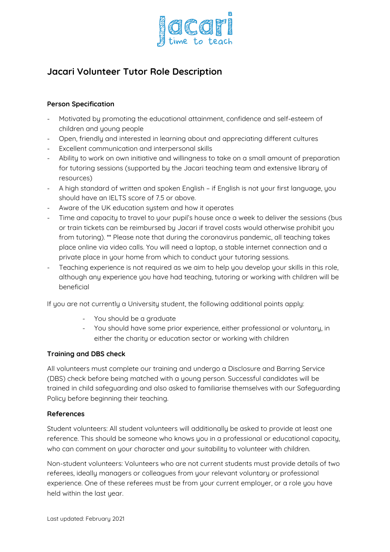

## **Jacari Volunteer Tutor Role Description**

## **Person Specification**

- Motivated by promoting the educational attainment, confidence and self-esteem of children and young people
- Open, friendly and interested in learning about and appreciating different cultures
- Excellent communication and interpersonal skills
- Ability to work on own initiative and willingness to take on a small amount of preparation for tutoring sessions (supported by the Jacari teaching team and extensive library of resources)
- A high standard of written and spoken English if English is not your first language, you should have an IELTS score of 7.5 or above.
- Aware of the UK education system and how it operates
- Time and capacity to travel to your pupil's house once a week to deliver the sessions (bus or train tickets can be reimbursed by Jacari if travel costs would otherwise prohibit you from tutoring). \*\* Please note that during the coronavirus pandemic, all teaching takes place online via video calls. You will need a laptop, a stable internet connection and a private place in your home from which to conduct your tutoring sessions.
- Teaching experience is not required as we aim to help you develop your skills in this role, although any experience you have had teaching, tutoring or working with children will be beneficial

If you are not currently a University student, the following additional points apply:

- You should be a graduate
- You should have some prior experience, either professional or voluntary, in either the charity or education sector or working with children

## **Training and DBS check**

All volunteers must complete our training and undergo a Disclosure and Barring Service (DBS) check before being matched with a young person. Successful candidates will be trained in child safeguarding and also asked to familiarise themselves with our Safeguarding Policy before beginning their teaching.

## **References**

Student volunteers: All student volunteers will additionally be asked to provide at least one reference. This should be someone who knows you in a professional or educational capacity, who can comment on your character and your suitability to volunteer with children.

Non-student volunteers: Volunteers who are not current students must provide details of two referees, ideally managers or colleagues from your relevant voluntary or professional experience. One of these referees must be from your current employer, or a role you have held within the last year.